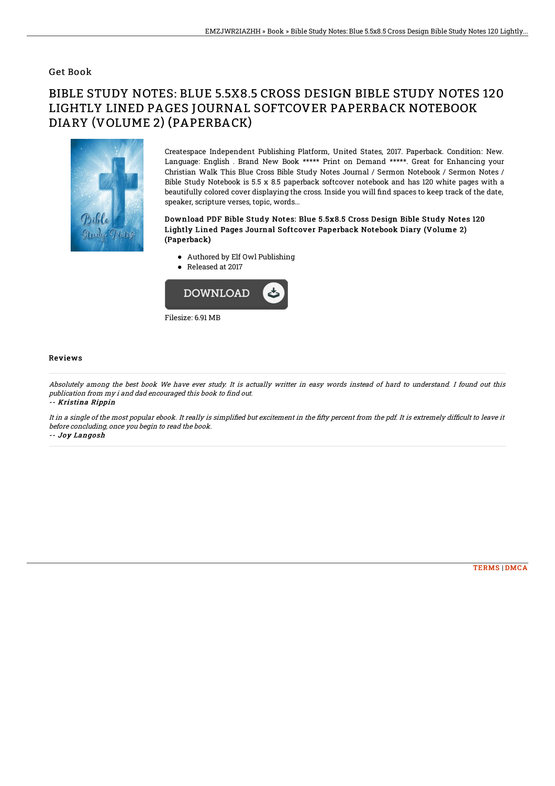### Get Book

# BIBLE STUDY NOTES: BLUE 5.5X8.5 CROSS DESIGN BIBLE STUDY NOTES 120 LIGHTLY LINED PAGES JOURNAL SOFTCOVER PAPERBACK NOTEBOOK DIARY (VOLUME 2) (PAPERBACK)



Createspace Independent Publishing Platform, United States, 2017. Paperback. Condition: New. Language: English . Brand New Book \*\*\*\*\* Print on Demand \*\*\*\*\*. Great for Enhancing your Christian Walk This Blue Cross Bible Study Notes Journal / Sermon Notebook / Sermon Notes / Bible Study Notebook is 5.5 x 8.5 paperback softcover notebook and has 120 white pages with a beautifully colored cover displaying the cross. Inside you will find spaces to keep track of the date, speaker, scripture verses, topic, words...

#### Download PDF Bible Study Notes: Blue 5.5x8.5 Cross Design Bible Study Notes 120 Lightly Lined Pages Journal Softcover Paperback Notebook Diary (Volume 2) (Paperback)

- Authored by Elf Owl Publishing
- Released at 2017



#### Reviews

Absolutely among the best book We have ever study. It is actually writter in easy words instead of hard to understand. I found out this publication from my i and dad encouraged this book to find out. -- Kristina Rippin

It in a single of the most popular ebook. It really is simplified but excitement in the fifty percent from the pdf. It is extremely difficult to leave it before concluding, once you begin to read the book.

-- Joy Langosh